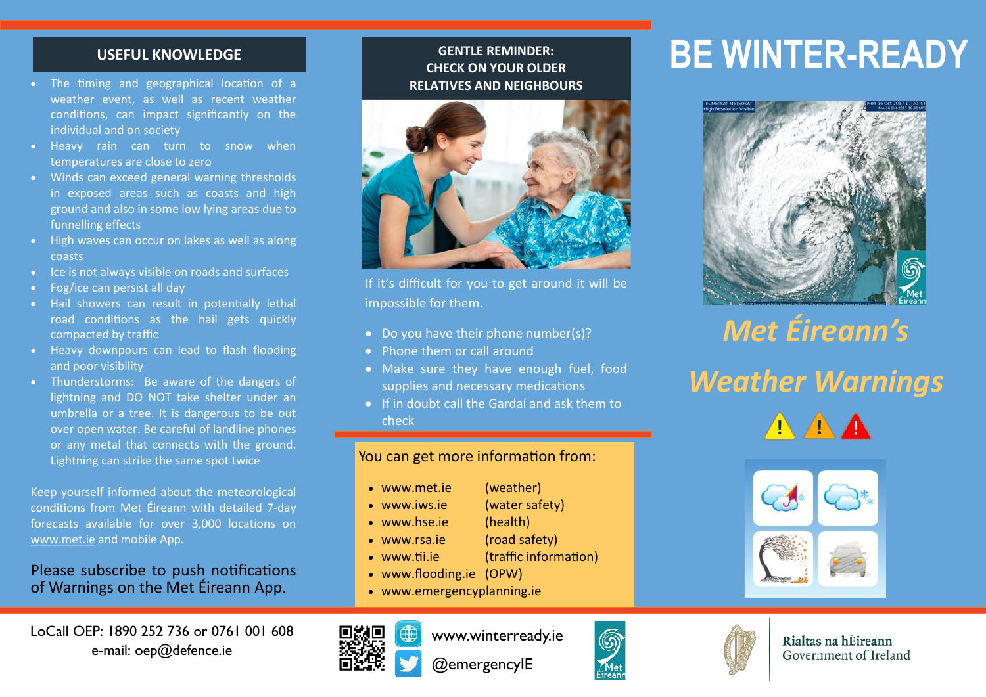### **USEFUL KNOWLEDGE**

- The timing and geographical location of a weather event, as well as recent weather conditions, can impact significantly on the individual and on society
- Heavy rain can turn to snow when temperatures are close to zero
- Winds can exceed general warning thresholds in exposed areas such as coasts and high ground and also in some low lying areas due to funnelling effects
- High waves can occur on lakes as well as along coasts
- Ice is not always visible on roads and surfaces
- Fog/ice can persist all day
- Hail showers can result in potentially lethal road conditions as the hail gets quickly compacted by traffic
- Heavy downpours can lead to flash flooding and poor visibility
- Thunderstorms: Be aware of the dangers of lightning and DO NOT take shelter under an umbrella or a tree. It is dangerous to be out over open water. Be careful of landline phones or any metal that connects with the ground. Lightning can strike the same spot twice

Keep yourself informed about the meteorological conditions from Met Éireann with detailed 7-day forecasts available for over 3,000 locations on [www.met.ie](http://www.met.ie) and mobile App.

### Please subscribe to push notifications of Warnings on the Met Éireann App.

### **GENTLE REMINDER: CHECK ON YOUR OLDER RELATIVES AND NEIGHBOURS**



If it's difficult for you to get around it will be impossible for them.

- Do you have their phone number(s)?
- Phone them or call around
- Make sure they have enough fuel, food supplies and necessary medications
- If in doubt call the Gardaí and ask them to check

### You can get more information from:

- [www.met.ie](http://www.met.ie) (weather)
- www.iws.ie (water safety)
- www.hse.ie (health)
- www.rsa.ie (road safety)
- www.tii.ie (traffic information)
- www.flooding.ie (OPW)
- [www.emergencyplanning.ie](http://www.winterready.ie)



www.winterready.ie @emergencyIE



# **BE WINTER-READY**



## *Met Éireann's Weather Warnings* AAA